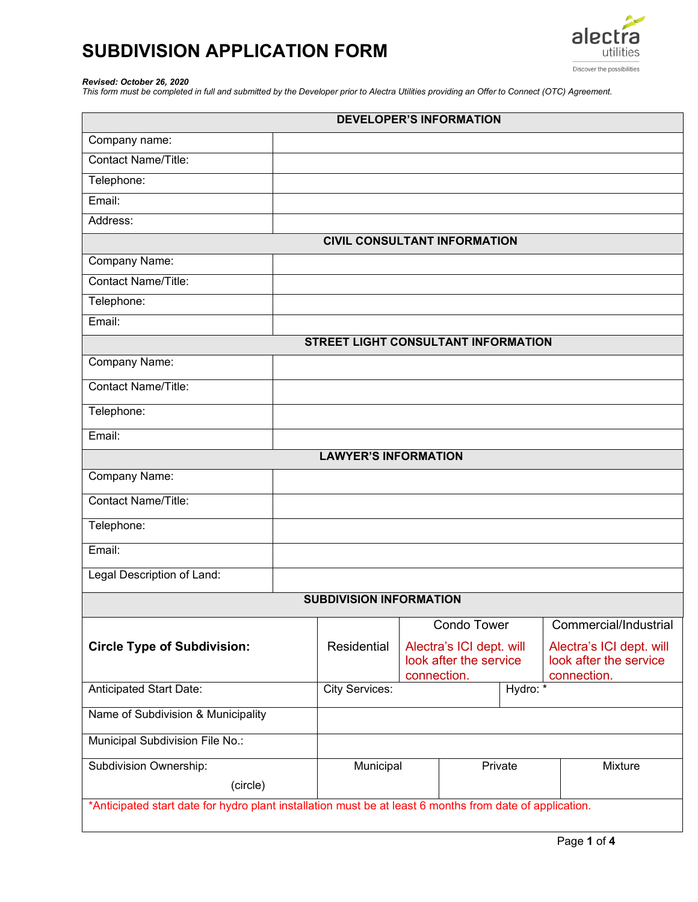

#### *Revised: October 26, 2020*

*This form must be completed in full and submitted by the Developer prior to Alectra Utilities providing an Offer to Connect (OTC) Agreement.*

| <b>DEVELOPER'S INFORMATION</b>                                                                           |                                                          |                        |                          |  |                          |  |
|----------------------------------------------------------------------------------------------------------|----------------------------------------------------------|------------------------|--------------------------|--|--------------------------|--|
| Company name:                                                                                            |                                                          |                        |                          |  |                          |  |
| Contact Name/Title:                                                                                      |                                                          |                        |                          |  |                          |  |
| Telephone:                                                                                               |                                                          |                        |                          |  |                          |  |
| Email:                                                                                                   |                                                          |                        |                          |  |                          |  |
| Address:                                                                                                 |                                                          |                        |                          |  |                          |  |
| <b>CIVIL CONSULTANT INFORMATION</b>                                                                      |                                                          |                        |                          |  |                          |  |
| Company Name:                                                                                            |                                                          |                        |                          |  |                          |  |
| Contact Name/Title:                                                                                      |                                                          |                        |                          |  |                          |  |
| Telephone:                                                                                               |                                                          |                        |                          |  |                          |  |
| Email:                                                                                                   |                                                          |                        |                          |  |                          |  |
| <b>STREET LIGHT CONSULTANT INFORMATION</b>                                                               |                                                          |                        |                          |  |                          |  |
| <b>Company Name:</b>                                                                                     |                                                          |                        |                          |  |                          |  |
| Contact Name/Title:                                                                                      |                                                          |                        |                          |  |                          |  |
| Telephone:                                                                                               |                                                          |                        |                          |  |                          |  |
| Email:                                                                                                   |                                                          |                        |                          |  |                          |  |
| <b>LAWYER'S INFORMATION</b>                                                                              |                                                          |                        |                          |  |                          |  |
| Company Name:                                                                                            |                                                          |                        |                          |  |                          |  |
| <b>Contact Name/Title:</b>                                                                               |                                                          |                        |                          |  |                          |  |
| Telephone:                                                                                               |                                                          |                        |                          |  |                          |  |
| Email:                                                                                                   |                                                          |                        |                          |  |                          |  |
| Legal Description of Land:                                                                               |                                                          |                        |                          |  |                          |  |
| <b>SUBDIVISION INFORMATION</b>                                                                           |                                                          |                        |                          |  |                          |  |
|                                                                                                          |                                                          |                        | <b>Condo Tower</b>       |  | Commercial/Industrial    |  |
| <b>Circle Type of Subdivision:</b>                                                                       | Residential                                              |                        | Alectra's ICI dept. will |  | Alectra's ICI dept. will |  |
|                                                                                                          |                                                          | look after the service |                          |  | look after the service   |  |
| Anticipated Start Date:                                                                                  | connection.<br>connection.<br>Hydro: *<br>City Services: |                        |                          |  |                          |  |
| Name of Subdivision & Municipality                                                                       |                                                          |                        |                          |  |                          |  |
| Municipal Subdivision File No.:                                                                          |                                                          |                        |                          |  |                          |  |
| Subdivision Ownership:                                                                                   | Municipal                                                |                        | Private                  |  | Mixture                  |  |
| (circle)                                                                                                 |                                                          |                        |                          |  |                          |  |
| *Anticipated start date for hydro plant installation must be at least 6 months from date of application. |                                                          |                        |                          |  |                          |  |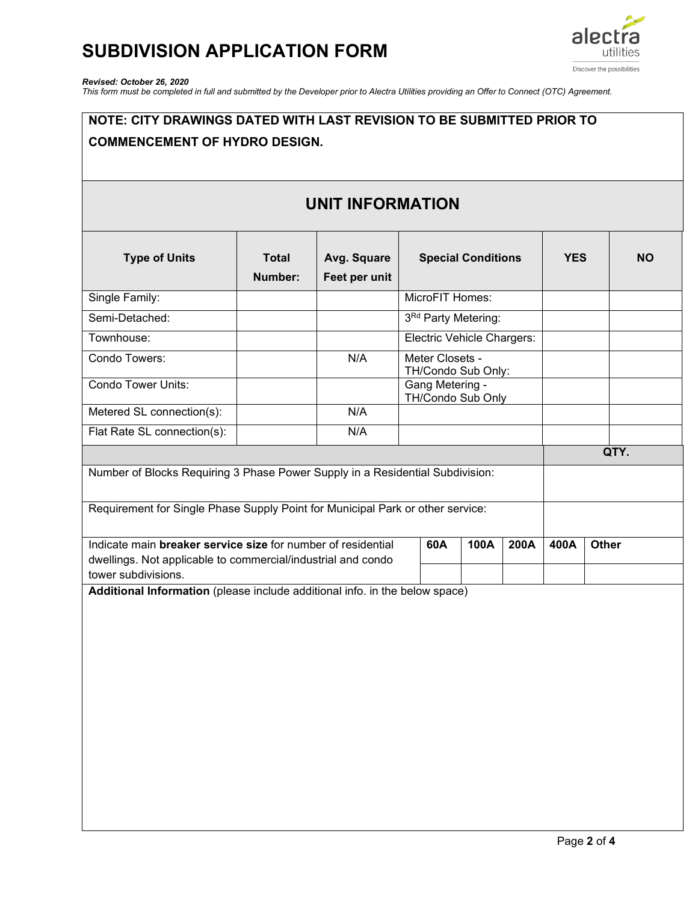

### *Revised: October 26, 2020*

*This form must be completed in full and submitted by the Developer prior to Alectra Utilities providing an Offer to Connect (OTC) Agreement.*

## **NOTE: CITY DRAWINGS DATED WITH LAST REVISION TO BE SUBMITTED PRIOR TO COMMENCEMENT OF HYDRO DESIGN. UNIT INFORMATION Type of Units Total Number: Avg. Square Feet per unit Special Conditions YES NO** Single Family: MicroFIT Homes: Semi-Detached: 3Rd Party Metering: Townhouse: Electric Vehicle Chargers: Condo Towers: Neter Closets - N/A Meter Closets -TH/Condo Sub Only: Condo Tower Units: Condo Tower Units: TH/Condo Sub Only Metered SL connection(s):  $\vert$  N/A Flat Rate SL connection(s): | N/A **QTY.** Number of Blocks Requiring 3 Phase Power Supply in a Residential Subdivision: Requirement for Single Phase Supply Point for Municipal Park or other service: Indicate main **breaker service size** for number of residential dwellings. Not applicable to commercial/industrial and condo tower subdivisions. **60A 100A 200A 400A Other Additional Information** (please include additional info. in the below space)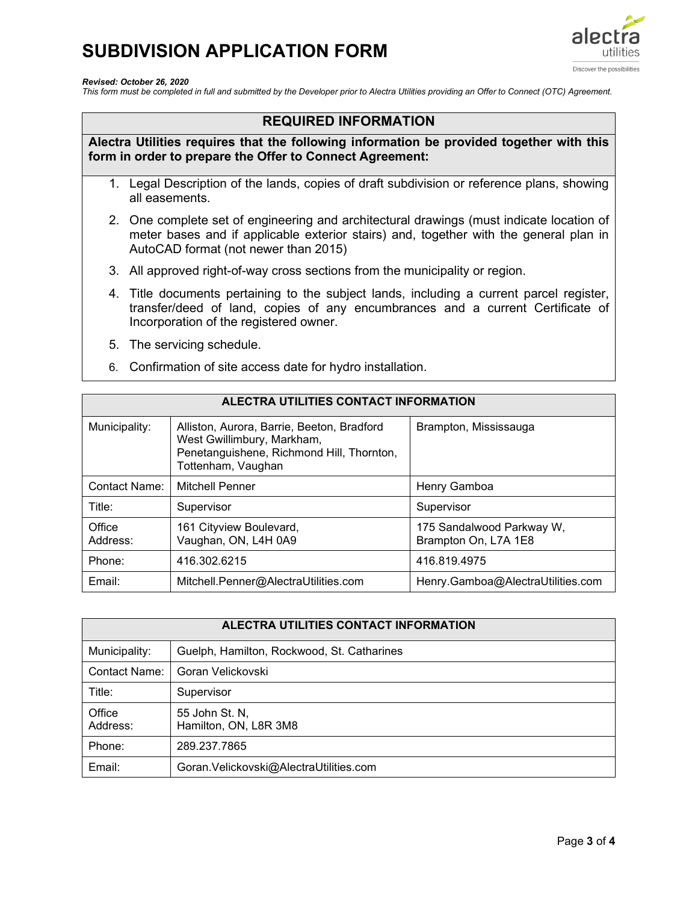

*Revised: October 26, 2020*

*This form must be completed in full and submitted by the Developer prior to Alectra Utilities providing an Offer to Connect (OTC) Agreement.*

## **REQUIRED INFORMATION**

**Alectra Utilities requires that the following information be provided together with this form in order to prepare the Offer to Connect Agreement:**

- 1. Legal Description of the lands, copies of draft subdivision or reference plans, showing all easements.
- 2. One complete set of engineering and architectural drawings (must indicate location of meter bases and if applicable exterior stairs) and, together with the general plan in AutoCAD format (not newer than 2015)
- 3. All approved right-of-way cross sections from the municipality or region.
- 4. Title documents pertaining to the subject lands, including a current parcel register, transfer/deed of land, copies of any encumbrances and a current Certificate of Incorporation of the registered owner.
- 5. The servicing schedule.
- 6. Confirmation of site access date for hydro installation.

| ALECTRA UTILITIES CONTACT INFORMATION |                                                                                                                                             |                                                   |  |  |  |
|---------------------------------------|---------------------------------------------------------------------------------------------------------------------------------------------|---------------------------------------------------|--|--|--|
| Municipality:                         | Alliston, Aurora, Barrie, Beeton, Bradford<br>West Gwillimbury, Markham,<br>Penetanguishene, Richmond Hill, Thornton,<br>Tottenham, Vaughan | Brampton, Mississauga                             |  |  |  |
| Contact Name:                         | <b>Mitchell Penner</b>                                                                                                                      | Henry Gamboa                                      |  |  |  |
| Title:                                | Supervisor                                                                                                                                  | Supervisor                                        |  |  |  |
| Office<br>Address:                    | 161 Cityview Boulevard,<br>Vaughan, ON, L4H 0A9                                                                                             | 175 Sandalwood Parkway W,<br>Brampton On, L7A 1E8 |  |  |  |
| Phone:                                | 416.302.6215                                                                                                                                | 416.819.4975                                      |  |  |  |
| Email:                                | Mitchell.Penner@AlectraUtilities.com                                                                                                        | Henry.Gamboa@AlectraUtilities.com                 |  |  |  |

| ALECTRA UTILITIES CONTACT INFORMATION |                                            |  |  |  |
|---------------------------------------|--------------------------------------------|--|--|--|
| Municipality:                         | Guelph, Hamilton, Rockwood, St. Catharines |  |  |  |
| Contact Name:                         | Goran Velickovski                          |  |  |  |
| Title:                                | Supervisor                                 |  |  |  |
| Office<br>Address:                    | 55 John St. N,<br>Hamilton, ON, L8R 3M8    |  |  |  |
| Phone:                                | 289.237.7865                               |  |  |  |
| Email:                                | Goran. Velickovski@AlectraUtilities.com    |  |  |  |